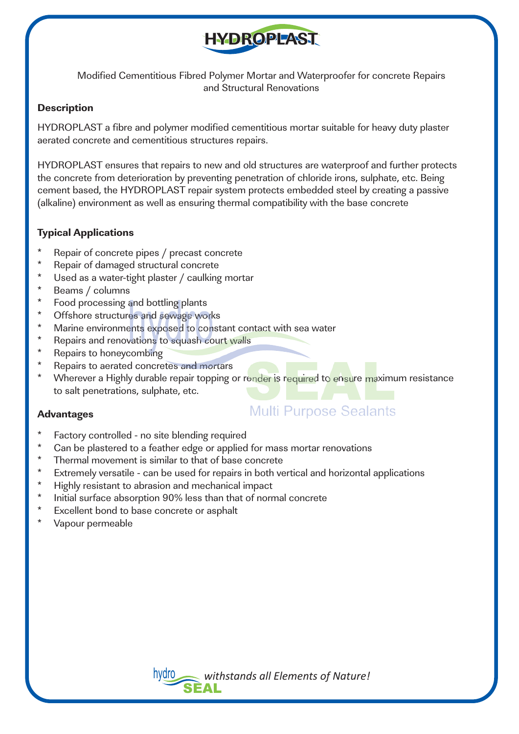

Modified Cementitious Fibred Polymer Mortar and Waterproofer for concrete Repairs and Structural Renovations

### **Description**

HYDROPLAST a fibre and polymer modified cementitious mortar suitable for heavy duty plaster aerated concrete and cementitious structures repairs.

HYDROPLAST ensures that repairs to new and old structures are waterproof and further protects the concrete from deterioration by preventing penetration of chloride irons, sulphate, etc. Being cement based, the HYDROPLAST repair system protects embedded steel by creating a passive (alkaline) environment as well as ensuring thermal compatibility with the base concrete

# **Typical Applications**

- \* Repair of concrete pipes / precast concrete
- \* Repair of damaged structural concrete
- \* Used as a water-tight plaster / caulking mortar
- \* Beams / columns
- \* Food processing and bottling plants
- \* Offshore structures and sewage works
- \* Marine environments exposed to constant contact with sea water<br>\* Ropairs and ropovations to squash court walls
- \* Repairs and renovations to squash court walls
- Repairs to honeycombing
- \* Repairs to aerated concretes and mortars
- Wherever a Highly durable repair topping or render is required to ensure maximum resistance to salt penetrations, sulphate, etc.

### **Advantages**

- **Multi Purpose Sealants**
- \* Factory controlled no site blending required
- \* Can be plastered to a feather edge or applied for mass mortar renovations<br>\* Thermal movement is similar to that of base concrete
- \* Thermal movement is similar to that of base concrete
- \* Extremely versatile can be used for repairs in both vertical and horizontal applications
- \* Highly resistant to abrasion and mechanical impact
- \* Initial surface absorption 90% less than that of normal concrete
- \* Excellent bond to base concrete or asphalt<br>\* Vanour permoable
- Vapour permeable